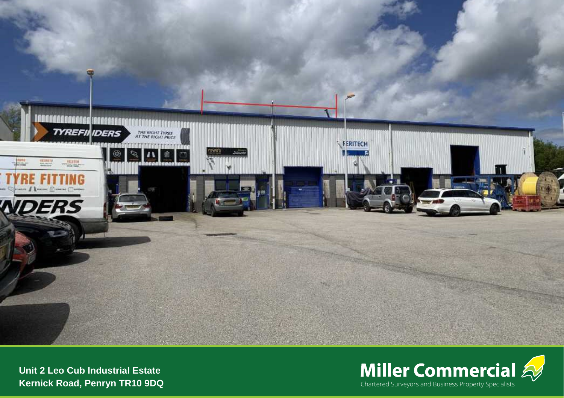



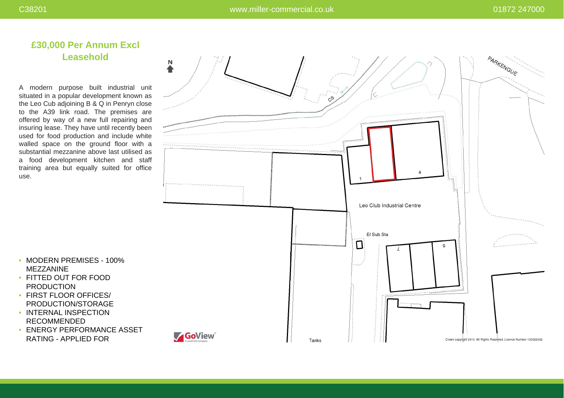# **£30,000 Per Annum Excl Leasehold**

A modern purpose built industrial unit situated in a popular development known as the Leo Cub adjoining B & Q in Penryn close to the A39 link road. The premises are offered by way of a new full repairing and insuring lease. They have until recently been used for food production and include white walled space on the ground floor with a substantial mezzanine above last utilised as a food development kitchen and staff training area but equally suited for office use.



- MODERN PREMISES 100% MEZZANINE
- FITTED OUT FOR FOOD PRODUCTION
- FIRST FLOOR OFFICES/ PRODUCTION/STORAGE
- INTERNAL INSPECTION RECOMMENDED
- ENERGY PERFORMANCE ASSET RATING - APPLIED FOR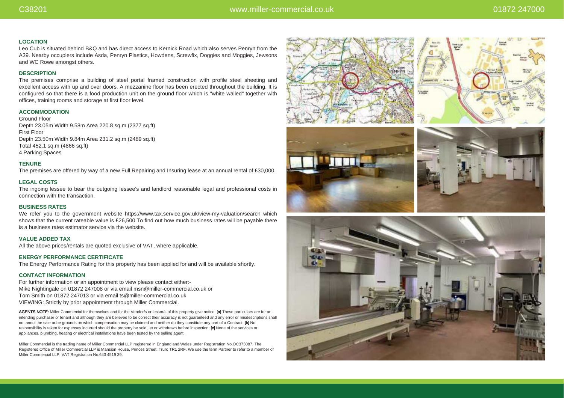### **LOCATION**

Leo Cub is situated behind B&Q and has direct access to Kernick Road which also serves Penryn from the A39. Nearby occupiers include Asda, Penryn Plastics, Howdens, Screwfix, Doggies and Moggies, Jewsons and WC Rowe amongst others.

# **DESCRIPTION**

The premises comprise a building of steel portal framed construction with profile steel sheeting and excellent access with up and over doors. A mezzanine floor has been erected throughout the building. It is configured so that there is a food production unit on the ground floor which is "white walled" together with offices, training rooms and storage at first floor level.

# **ACCOMMODATION**

Ground Floor Depth 23.05m Width 9.58m Area 220.8 sq.m (2377 sq.ft) First Floor Depth 23.50m Width 9.84m Area 231.2 sq.m (2489 sq.ft) Total 452.1 sq.m (4866 sq.ft) 4 Parking Spaces

### **TENURE**

The premises are offered by way of a new Full Repairing and Insuring lease at an annual rental of £30,000.

## **LEGAL COSTS**

The ingoing lessee to bear the outgoing lessee's and landlord reasonable legal and professional costs in connection with the transaction.

## **BUSINESS RATES**

We refer you to the government website https://www.tax.service.gov.uk/view-my-valuation/search which shows that the current rateable value is £26,500.To find out how much business rates will be payable there is a business rates estimator service via the website.

#### **VALUE ADDED TAX**

All the above prices/rentals are quoted exclusive of VAT, where applicable.

#### **ENERGY PERFORMANCE CERTIFICATE**

The Energy Performance Rating for this property has been applied for and will be available shortly.

## **CONTACT INFORMATION**

For further information or an appointment to view please contact either:- Mike Nightingale on 01872 247008 or via email msn@miller-commercial.co.uk or Tom Smith on 01872 247013 or via email ts@miller-commercial.co.uk VIEWING: Strictly by prior appointment through Miller Commercial.

AGENTS NOTE: Miller Commercial for themselves and for the Vendor/s or lessor/s of this property give notice: [a] These particulars are for an intending purchaser or tenant and although they are believed to be correct their accuracy is not guaranteed and any error or misdescriptions shall not annul the sale or be grounds on which compensation may be claimed and neither do they constitute any part of a Contract: [b] No responsibility is taken for expenses incurred should the property be sold, let or withdrawn before inspection: [c] None of the services or appliances, plumbing, heating or electrical installations have been tested by the selling agent.

Miller Commercial is the trading name of Miller Commercial LLP registered in England and Wales under Registration No.OC373087. The Registered Office of Miller Commercial LLP is Mansion House, Princes Street, Truro TR1 2RF. We use the term Partner to refer to a member of Miller Commercial LLP. VAT Registration No.643 4519 39.